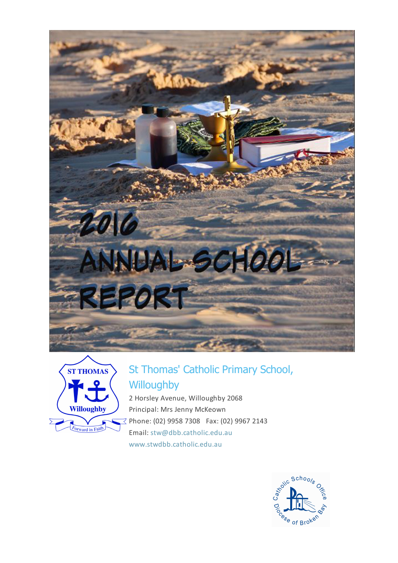



# St Thomas' Catholic Primary School, **Willoughby**

2 Horsley Avenue, Willoughby 2068 Principal: Mrs Jenny McKeown  $\leq$  Phone: (02) 9958 7308 Fax: (02) 9967 2143 Email: [stw@dbb.catholic.edu.au](mailto: stw@dbb.catholic.edu.au) [www.stwdbb.catholic.edu.au](http://asr.dbb.org.au/Reports/Print/525/www.stwdbb.catholic.edu.au)

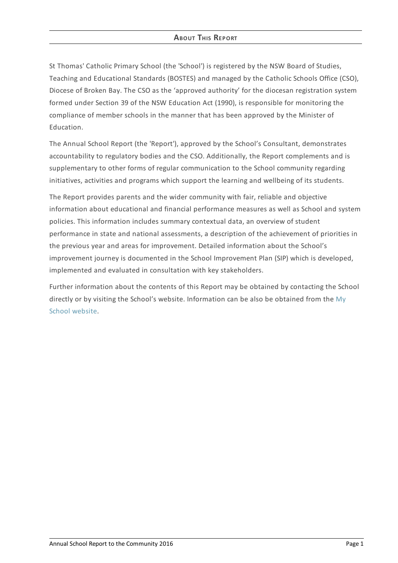# **ABOUT THIS REPORT**

St Thomas' Catholic Primary School (the 'School') is registered by the NSW Board of Studies, Teaching and Educational Standards (BOSTES) and managed by the Catholic Schools Office (CSO), Diocese of Broken Bay. The CSO as the 'approved authority' for the diocesan registration system formed under Section 39 of the NSW Education Act (1990), is responsible for monitoring the compliance of member schools in the manner that has been approved by the Minister of Education.

The Annual School Report (the 'Report'), approved by the School's Consultant, demonstrates accountability to regulatory bodies and the CSO. Additionally, the Report complements and is supplementary to other forms of regular communication to the School community regarding initiatives, activities and programs which support the learning and wellbeing of its students.

The Report provides parents and the wider community with fair, reliable and objective information about educational and financial performance measures as well as School and system policies. This information includes summary contextual data, an overview of student performance in state and national assessments, a description of the achievement of priorities in the previous year and areas for improvement. Detailed information about the School's improvement journey is documented in the School Improvement Plan (SIP) which is developed, implemented and evaluated in consultation with key stakeholders.

Further information about the contents of this Report may be obtained by contacting the School directly or by visiting the School's website. [Information](http://www.myschool.edu.au/) can be also be obtained from the My School website.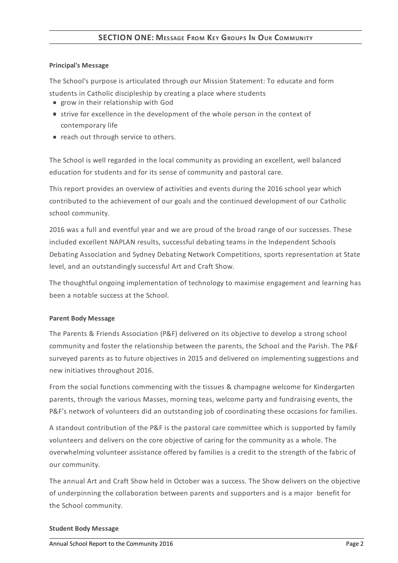# **SECTION ONE: MESSAGE FROM KEY GROUPS I<sup>N</sup> OUR COMMUNITY**

#### **Principal's Message**

The School's purpose is articulated through our Mission Statement: To educate and form

- students in Catholic discipleship by creating a place where students
- grow in their relationship with God
- strive for excellence in the development of the whole person in the context of contemporary life
- reach out through service to others.

The School is well regarded in the local community as providing an excellent, well balanced education for students and for its sense of community and pastoral care.

This report provides an overview of activities and events during the 2016 school year which contributed to the achievement of our goals and the continued development of our Catholic school community.

2016 was a full and eventful year and we are proud of the broad range of our successes. These included excellent NAPLAN results, successful debating teams in the Independent Schools Debating Association and Sydney Debating Network Competitions, sports representation at State level, and an outstandingly successful Art and Craft Show.

The thoughtful ongoing implementation of technology to maximise engagement and learning has been a notable success at the School.

## **Parent Body Message**

The Parents & Friends Association (P&F) delivered on its objective to develop a strong school community and foster the relationship between the parents, the School and the Parish. The P&F surveyed parents as to future objectives in 2015 and delivered on implementing suggestions and new initiatives throughout 2016.

From the social functions commencing with the tissues & champagne welcome for Kindergarten parents, through the various Masses, morning teas, welcome party and fundraising events, the P&F's network of volunteers did an outstanding job of coordinating these occasions for families.

A standout contribution of the P&F is the pastoral care committee which is supported by family volunteers and delivers on the core objective of caring for the community as a whole. The overwhelming volunteer assistance offered by families is a credit to the strength of the fabric of our community.

The annual Art and Craft Show held in October was a success. The Show delivers on the objective of underpinning the collaboration between parents and supporters and is a major benefit for the School community.

#### **Student Body Message**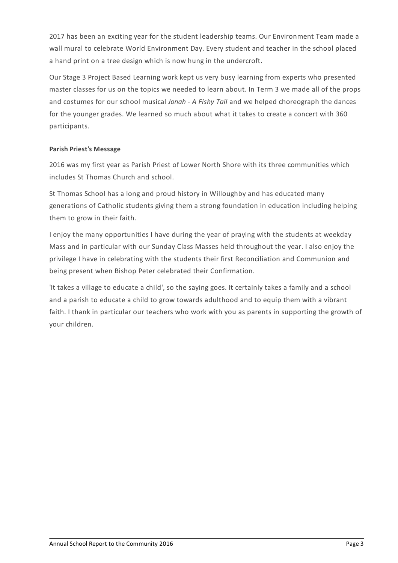2017 has been an exciting year for the student leadership teams. Our Environment Team made a wall mural to celebrate World Environment Day. Every student and teacher in the school placed a hand print on a tree design which is now hung in the undercroft.

Our Stage 3 Project Based Learning work kept us very busy learning from experts who presented master classes for us on the topics we needed to learn about. In Term 3 we made all of the props and costumes for our school musical *Jonah - A Fishy Tail* and we helped choreograph the dances for the younger grades. We learned so much about what it takes to create a concert with 360 participants.

## **Parish Priest's Message**

2016 was my first year as Parish Priest of Lower North Shore with its three communities which includes St Thomas Church and school.

St Thomas School has a long and proud history in Willoughby and has educated many generations of Catholic students giving them a strong foundation in education including helping them to grow in their faith.

I enjoy the many opportunities I have during the year of praying with the students at weekday Mass and in particular with our Sunday Class Masses held throughout the year. I also enjoy the privilege I have in celebrating with the students their first Reconciliation and Communion and being present when Bishop Peter celebrated their Confirmation.

'It takes a village to educate a child', so the saying goes. It certainly takes a family and a school and a parish to educate a child to grow towards adulthood and to equip them with a vibrant faith. I thank in particular our teachers who work with you as parents in supporting the growth of your children.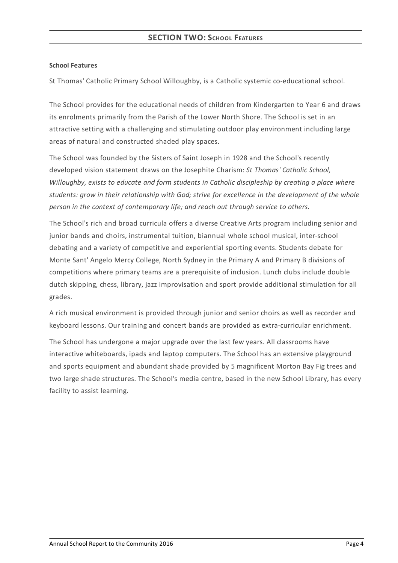## **School Features**

St Thomas' Catholic Primary School Willoughby, is a Catholic systemic co-educational school.

The School provides for the educational needs of children from Kindergarten to Year 6 and draws its enrolments primarily from the Parish of the Lower North Shore. The School is set in an attractive setting with a challenging and stimulating outdoor play environment including large areas of natural and constructed shaded play spaces.

The School was founded by the Sisters of Saint Joseph in 1928 and the School's recently developed vision statement draws on the Josephite Charism: *St Thomas' Catholic School, Willoughby, exists to educate and form students in Catholic discipleship by creating a place where students: grow in their relationship with God; strive for excellence in the development of the whole person in the context of contemporary life; and reach out through service to others.*

The School's rich and broad curricula offers a diverse Creative Arts program including senior and junior bands and choirs, instrumental tuition, biannual whole school musical, inter-school debating and a variety of competitive and experiential sporting events. Students debate for Monte Sant' Angelo Mercy College, North Sydney in the Primary A and Primary B divisions of competitions where primary teams are a prerequisite of inclusion. Lunch clubs include double dutch skipping, chess, library, jazz improvisation and sport provide additional stimulation for all grades.

A rich musical environment is provided through junior and senior choirs as well as recorder and keyboard lessons. Our training and concert bands are provided as extra-curricular enrichment.

The School has undergone a major upgrade over the last few years. All classrooms have interactive whiteboards, ipads and laptop computers. The School has an extensive playground and sports equipment and abundant shade provided by 5 magnificent Morton Bay Fig trees and two large shade structures. The School's media centre, based in the new School Library, has every facility to assist learning.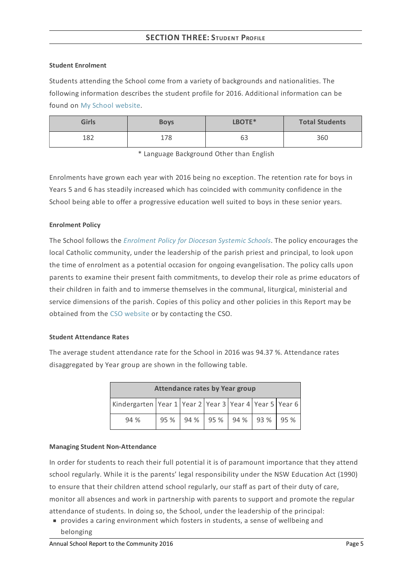# **SECTION THREE:STUDENT PROFILE**

#### **Student Enrolment**

Students attending the School come from a variety of backgrounds and nationalities. The following information describes the student profile for 2016. Additional information can be found on My School [website](http://www.myschool.edu.au/).

| <b>Girls</b> | LBOTE*<br><b>Boys</b> |    | <b>Total Students</b> |  |
|--------------|-----------------------|----|-----------------------|--|
| 1 0 ገ<br>∸∽∼ | 78<br>17 O            | 63 | 360                   |  |

\* Language Background Other than English

Enrolments have grown each year with 2016 being no exception. The retention rate for boys in Years 5 and 6 has steadily increased which has coincided with community confidence in the School being able to offer a progressive education well suited to boys in these senior years.

## **Enrolment Policy**

The School follows the *[Enrolment](https://www.csodbb.catholic.edu.au/about/dsp-collection.cfm?loadref=125) Policy for Diocesan Systemic Schools*. The policy encourages the local Catholic community, under the leadership of the parish priest and principal, to look upon the time of enrolment as a potential occasion for ongoing evangelisation. The policy calls upon parents to examine their present faith commitments, to develop their role as prime educators of their children in faith and to immerse themselves in the communal, liturgical, ministerial and service dimensions of the parish. Copies of this policy and other policies in this Report may be obtained from the CSO [website](https://www.csodbb.catholic.edu.au/index.cfm) or by contacting the CSO.

#### **Student Attendance Rates**

The average student attendance rate for the School in 2016 was 94.37 %. Attendance rates disaggregated by Year group are shown in the following table.

| <b>Attendance rates by Year group</b>                  |      |  |  |  |  |                            |
|--------------------------------------------------------|------|--|--|--|--|----------------------------|
| Kindergarten Year 1 Year 2 Year 3 Year 4 Year 5 Year 6 |      |  |  |  |  |                            |
| 94 %                                                   | 95 % |  |  |  |  | $94\%$ 95 % 94 % 93 % 95 % |

#### **Managing Student Non-Attendance**

In order for students to reach their full potential it is of paramount importance that they attend school regularly. While it is the parents' legal responsibility under the NSW Education Act (1990) to ensure that their children attend school regularly, our staff as part of their duty of care, monitor all absences and work in partnership with parents to support and promote the regular attendance of students. In doing so, the School, under the leadership of the principal:

provides a caring environment which fosters in students, a sense of wellbeing and belonging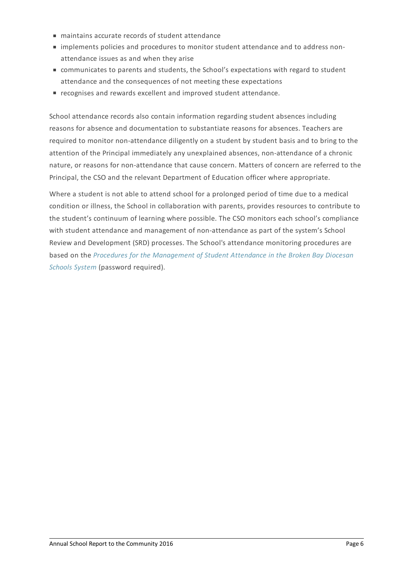- maintains accurate records of student attendance
- implements policies and procedures to monitor student attendance and to address nonattendance issues as and when they arise
- communicates to parents and students, the School's expectations with regard to student attendance and the consequences of not meeting these expectations
- recognises and rewards excellent and improved student attendance.

School attendance records also contain information regarding student absences including reasons for absence and documentation to substantiate reasons for absences. Teachers are required to monitor non-attendance diligently on a student by student basis and to bring to the attention of the Principal immediately any unexplained absences, non-attendance of a chronic nature, or reasons for non-attendance that cause concern. Matters of concern are referred to the Principal, the CSO and the relevant Department of Education officer where appropriate.

Where a student is not able to attend school for a prolonged period of time due to a medical condition or illness, the School in collaboration with parents, provides resources to contribute to the student's continuum of learning where possible. The CSO monitors each school's compliance with student attendance and management of non-attendance as part of the system's School Review and Development (SRD) processes. The School's attendance monitoring procedures are based on the *Procedures for the [Management](http://srd.dbbcso.org/attendance--enrolment.html) of Student Attendance in the Broken Bay Diocesan Schools System* (password required).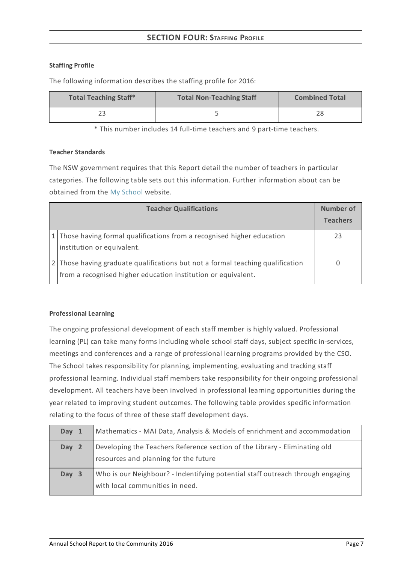# **SECTION FOUR:STAFFING PROFILE**

## **Staffing Profile**

The following information describes the staffing profile for 2016:

| <b>Total Teaching Staff*</b> | <b>Total Non-Teaching Staff</b> | <b>Combined Total</b> |
|------------------------------|---------------------------------|-----------------------|
| ↑1                           |                                 |                       |

\* This number includes 14 full-time teachers and 9 part-time teachers.

#### **Teacher Standards**

The NSW government requires that this Report detail the number of teachers in particular categories. The following table sets out this information. Further information about can be obtained from the My [School](http://www.myschool.edu.au/) website.

| <b>Teacher Qualifications</b> |                                                                                                                                                 |    |
|-------------------------------|-------------------------------------------------------------------------------------------------------------------------------------------------|----|
|                               | 1 Those having formal qualifications from a recognised higher education<br>institution or equivalent.                                           | 23 |
|                               | 2 Those having graduate qualifications but not a formal teaching qualification<br>from a recognised higher education institution or equivalent. |    |

## **Professional Learning**

The ongoing professional development of each staff member is highly valued. Professional learning (PL) can take many forms including whole school staff days, subject specific in-services, meetings and conferences and a range of professional learning programs provided by the CSO. The School takes responsibility for planning, implementing, evaluating and tracking staff professional learning. Individual staff members take responsibility for their ongoing professional development. All teachers have been involved in professional learning opportunities during the year related to improving student outcomes. The following table provides specific information relating to the focus of three of these staff development days.

| Day 1 | Mathematics - MAI Data, Analysis & Models of enrichment and accommodation                                           |
|-------|---------------------------------------------------------------------------------------------------------------------|
| Day 2 | Developing the Teachers Reference section of the Library - Eliminating old<br>resources and planning for the future |
| Day 3 | Who is our Neighbour? - Indentifying potential staff outreach through engaging<br>with local communities in need.   |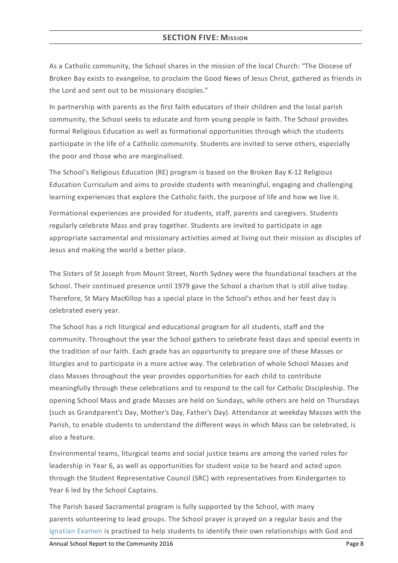# **SECTION FIVE: MISSION**

As a Catholic community, the School shares in the mission of the local Church: "The Diocese of Broken Bay exists to evangelise, to proclaim the Good News of Jesus Christ, gathered as friends in the Lord and sent out to be missionary disciples."

In partnership with parents as the first faith educators of their children and the local parish community, the School seeks to educate and form young people in faith. The School provides formal Religious Education as well as formational opportunities through which the students participate in the life of a Catholic community. Students are invited to serve others, especially the poor and those who are marginalised.

The School's Religious Education (RE) program is based on the Broken Bay K-12 Religious Education Curriculum and aims to provide students with meaningful, engaging and challenging learning experiences that explore the Catholic faith, the purpose of life and how we live it.

Formational experiences are provided for students, staff, parents and caregivers. Students regularly celebrate Mass and pray together. Students are invited to participate in age appropriate sacramental and missionary activities aimed at living out their mission as disciples of Jesus and making the world a better place.

The Sisters of St Joseph from Mount Street, North Sydney were the foundational teachers at the School. Their continued presence until 1979 gave the School a charism that is still alive today. Therefore, St Mary MacKillop has a special place in the School's ethos and her feast day is celebrated every year.

The School has a rich liturgical and educational program for all students, staff and the community. Throughout the year the School gathers to celebrate feast days and special events in the tradition of our faith. Each grade has an opportunity to prepare one of these Masses or liturgies and to participate in a more active way. The celebration of whole School Masses and class Masses throughout the year provides opportunities for each child to contribute meaningfully through these celebrations and to respond to the call for Catholic Discipleship. The opening School Mass and grade Masses are held on Sundays, while others are held on Thursdays (such as Grandparent's Day, Mother's Day, Father's Day). Attendance at weekday Masses with the Parish, to enable students to understand the different ways in which Mass can be celebrated, is also a feature.

Environmental teams, liturgical teams and social justice teams are among the varied roles for leadership in Year 6, as well as opportunities for student voice to be heard and acted upon through the Student Representative Council (SRC) with representatives from Kindergarten to Year 6 led by the School Captains.

The Parish based Sacramental program is fully supported by the School, with many parents volunteering to lead groups. The School prayer is prayed on a regular basis and the [Ignatian](http://www.ignatianspirituality.com/ignatian-prayer/the-examen) Examen is practised to help students to identify their own relationships with God and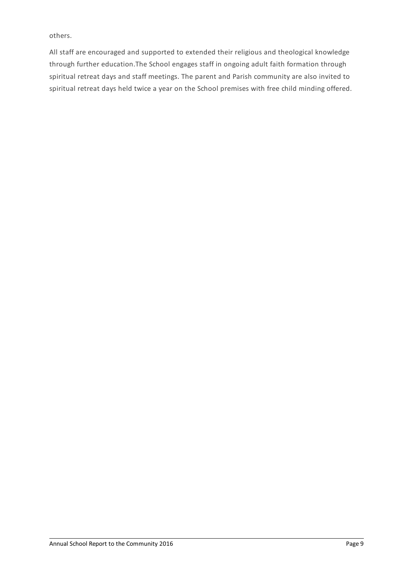others.

All staff are encouraged and supported to extended their religious and theological knowledge through further education.The School engages staff in ongoing adult faith formation through spiritual retreat days and staff meetings. The parent and Parish community are also invited to spiritual retreat days held twice a year on the School premises with free child minding offered.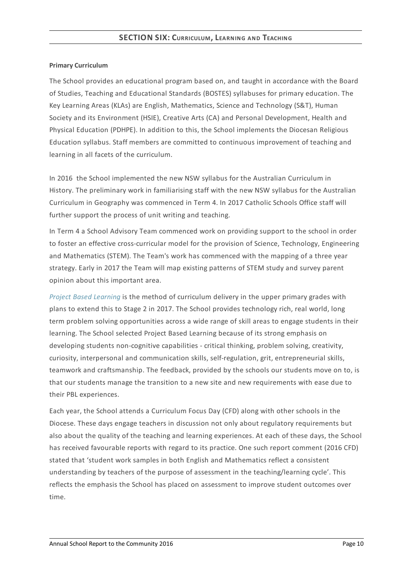## **Primary Curriculum**

The School provides an educational program based on, and taught in accordance with the Board of Studies, Teaching and Educational Standards (BOSTES) syllabuses for primary education. The Key Learning Areas (KLAs) are English, Mathematics, Science and Technology (S&T), Human Society and its Environment (HSIE), Creative Arts (CA) and Personal Development, Health and Physical Education (PDHPE). In addition to this, the School implements the Diocesan Religious Education syllabus. Staff members are committed to continuous improvement of teaching and learning in all facets of the curriculum.

In 2016 the School implemented the new NSW syllabus for the Australian Curriculum in History. The preliminary work in familiarising staff with the new NSW syllabus for the Australian Curriculum in Geography was commenced in Term 4. In 2017 Catholic Schools Office staff will further support the process of unit writing and teaching.

In Term 4 a School Advisory Team commenced work on providing support to the school in order to foster an effective cross-curricular model for the provision of Science, Technology, Engineering and Mathematics (STEM). The Team's work has commenced with the mapping of a three year strategy. Early in 2017 the Team will map existing patterns of STEM study and survey parent opinion about this important area.

*Project Based [Learning](http://www.challengebasedlearning.org/pages/welcome)* is the method of curriculum delivery in the upper primary grades with plans to extend this to Stage 2 in 2017. The School provides technology rich, real world, long term problem solving opportunities across a wide range of skill areas to engage students in their learning. The School selected Project Based Learning because of its strong emphasis on developing students non-cognitive capabilities - critical thinking, problem solving, creativity, curiosity, interpersonal and communication skills, self-regulation, grit, entrepreneurial skills, teamwork and craftsmanship. The feedback, provided by the schools our students move on to, is that our students manage the transition to a new site and new requirements with ease due to their PBL experiences.

Each year, the School attends a Curriculum Focus Day (CFD) along with other schools in the Diocese. These days engage teachers in discussion not only about regulatory requirements but also about the quality of the teaching and learning experiences. At each of these days, the School has received favourable reports with regard to its practice. One such report comment (2016 CFD) stated that 'student work samples in both English and Mathematics reflect a consistent understanding by teachers of the purpose of assessment in the teaching/learning cycle'. This reflects the emphasis the School has placed on assessment to improve student outcomes over time.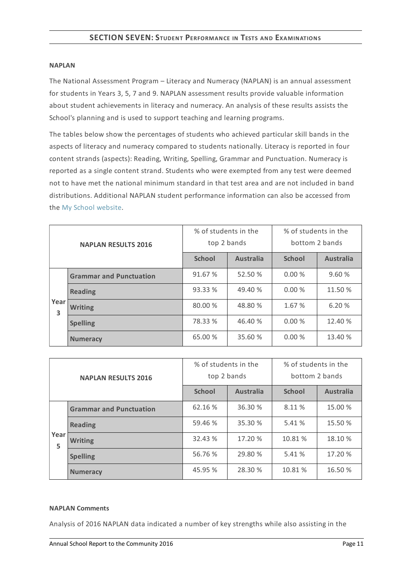#### **NAPLAN**

The National Assessment Program – Literacy and Numeracy (NAPLAN) is an annual assessment for students in Years 3, 5, 7 and 9. NAPLAN assessment results provide valuable information about student achievements in literacy and numeracy. An analysis of these results assists the School's planning and is used to support teaching and learning programs.

The tables below show the percentages of students who achieved particular skill bands in the aspects of literacy and numeracy compared to students nationally. Literacy is reported in four content strands (aspects): Reading, Writing, Spelling, Grammar and Punctuation. Numeracy is reported as a single content strand. Students who were exempted from any test were deemed not to have met the national minimum standard in that test area and are not included in band distributions. Additional NAPLAN student performance information can also be accessed from the My School [website](http://www.myschool.edu.au/).

| <b>NAPLAN RESULTS 2016</b> |                                | % of students in the<br>top 2 bands |                  | % of students in the<br>bottom 2 bands |                  |
|----------------------------|--------------------------------|-------------------------------------|------------------|----------------------------------------|------------------|
|                            |                                | <b>School</b>                       | <b>Australia</b> | <b>School</b>                          | <b>Australia</b> |
|                            | <b>Grammar and Punctuation</b> | 91.67 %                             | 52.50 %          | 0.00%                                  | 9.60 %           |
| Year<br>3                  | <b>Reading</b>                 | 93.33 %                             | 49.40 %          | 0.00%                                  | 11.50 %          |
|                            | <b>Writing</b>                 | 80.00 %                             | 48.80 %          | 1.67 %                                 | 6.20%            |
|                            | <b>Spelling</b>                | 78.33 %                             | 46.40 %          | 0.00%                                  | 12.40 %          |
|                            | <b>Numeracy</b>                | 65.00 %                             | 35.60 %          | 0.00%                                  | 13.40 %          |

| <b>NAPLAN RESULTS 2016</b> |                                | % of students in the<br>top 2 bands |                  | % of students in the<br>bottom 2 bands |                  |
|----------------------------|--------------------------------|-------------------------------------|------------------|----------------------------------------|------------------|
|                            |                                | <b>School</b>                       | <b>Australia</b> | <b>School</b>                          | <b>Australia</b> |
| Year<br>5                  | <b>Grammar and Punctuation</b> | 62.16 %                             | 36.30 %          | 8.11 %                                 | 15.00 %          |
|                            | <b>Reading</b>                 | 59.46 %                             | 35.30 %          | 5.41 %                                 | 15.50 %          |
|                            | <b>Writing</b>                 | 32.43 %                             | 17.20 %          | 10.81 %                                | 18.10 %          |
|                            | <b>Spelling</b>                | 56.76 %                             | 29.80 %          | 5.41 %                                 | 17.20 %          |
|                            | <b>Numeracy</b>                | 45.95 %                             | 28.30 %          | 10.81 %                                | 16.50 %          |

#### **NAPLAN Comments**

Analysis of 2016 NAPLAN data indicated a number of key strengths while also assisting in the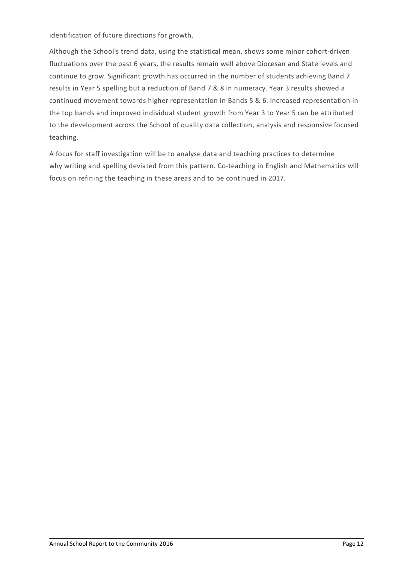identification of future directions for growth.

Although the School's trend data, using the statistical mean, shows some minor cohort-driven fluctuations over the past 6 years, the results remain well above Diocesan and State levels and continue to grow. Significant growth has occurred in the number of students achieving Band 7 results in Year 5 spelling but a reduction of Band 7 & 8 in numeracy. Year 3 results showed a continued movement towards higher representation in Bands 5 & 6. Increased representation in the top bands and improved individual student growth from Year 3 to Year 5 can be attributed to the development across the School of quality data collection, analysis and responsive focused teaching.

A focus for staff investigation will be to analyse data and teaching practices to determine why writing and spelling deviated from this pattern. Co-teaching in English and Mathematics will focus on refining the teaching in these areas and to be continued in 2017.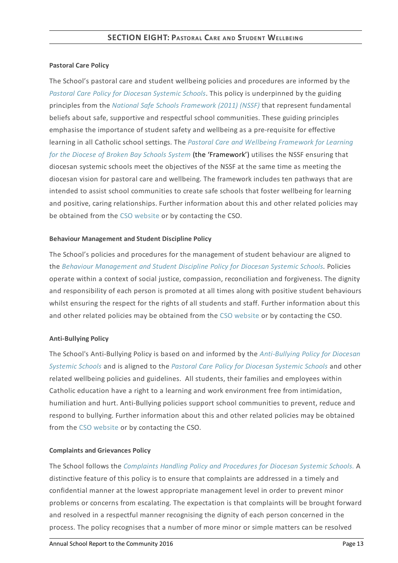## **Pastoral Care Policy**

The School's pastoral care and student wellbeing policies and procedures are informed by the *Pastoral Care Policy for [Diocesan](https://www.csodbb.catholic.edu.au/about/dsp-collection.cfm?loadref=125) Systemic Schools*. This policy is underpinned by the guiding principles from the *National Safe Schools [Framework](https://www.education.gov.au/national-safe-schools-framework-0) (2011) (NSSF)* that represent fundamental beliefs about safe, supportive and respectful school communities. These guiding principles emphasise the importance of student safety and wellbeing as a pre-requisite for effective learning in all Catholic school settings. The *Pastoral Care and Wellbeing Framework for Learning for the Diocese of Broken Bay Schools System* (the ['Framework'\)](https://www.csodbb.catholic.edu.au/studentwellbeing/dsp-default.cfm?loadref=140) utilises the NSSF ensuring that diocesan systemic schools meet the objectives of the NSSF at the same time as meeting the diocesan vision for pastoral care and wellbeing. The framework includes ten pathways that are intended to assist school communities to create safe schools that foster wellbeing for learning and positive, caring relationships. Further information about this and other related policies may be obtained from the CSO [website](https://www.csodbb.catholic.edu.au/about/dsp-collection.cfm?loadref=125) or by contacting the CSO.

#### **Behaviour Management and Student Discipline Policy**

The School's policies and procedures for the management of student behaviour are aligned to the *Behaviour [Management](https://www.csodbb.catholic.edu.au/about/dsp-collection.cfm?loadref=125) and Student Discipline Policy for Diocesan Systemic Schools.* Policies operate within a context of social justice, compassion, reconciliation and forgiveness. The dignity and responsibility of each person is promoted at all times along with positive student behaviours whilst ensuring the respect for the rights of all students and staff. Further information about this and other related policies may be obtained from the CSO [website](https://www.csodbb.catholic.edu.au/about/dsp-collection.cfm?loadref=125) or by contacting the CSO.

## **Anti-Bullying Policy**

The School's [Anti-Bullying](https://www.csodbb.catholic.edu.au/about/dsp-collection.cfm?loadref=125) Policy is based on and informed by the *Anti-Bullying Policy for Diocesan Systemic Schools* and is aligned to the *Pastoral Care Policy for [Diocesan](https://www.csodbb.catholic.edu.au/about/dsp-collection.cfm?loadref=125) Systemic Schools* and other related wellbeing policies and guidelines. All students, their families and employees within Catholic education have a right to a learning and work environment free from intimidation, humiliation and hurt. Anti-Bullying policies support school communities to prevent, reduce and respond to bullying. Further information about this and other related policies may be obtained from the CSO [website](https://www.csodbb.catholic.edu.au/about/dsp-collection.cfm?loadref=125) or by contacting the CSO.

## **Complaints and Grievances Policy**

The School follows the *[Complaints](https://www.csodbb.catholic.edu.au/about/dsp-collection.cfm?loadref=125) Handling Policy and Procedures for Diocesan Systemic Schools.* A distinctive feature of this policy is to ensure that complaints are addressed in a timely and confidential manner at the lowest appropriate management level in order to prevent minor problems or concerns from escalating. The expectation is that complaints will be brought forward and resolved in a respectful manner recognising the dignity of each person concerned in the process. The policy recognises that a number of more minor or simple matters can be resolved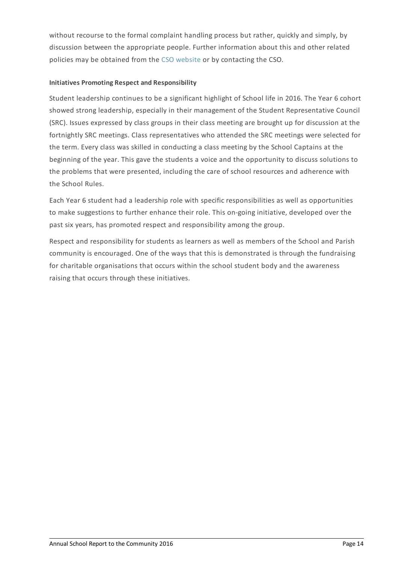without recourse to the formal complaint handling process but rather, quickly and simply, by discussion between the appropriate people. Further information about this and other related policies may be obtained from the CSO [website](https://www.csodbb.catholic.edu.au/about/dsp-collection.cfm?loadref=125) or by contacting the CSO.

## **Initiatives Promoting Respect and Responsibility**

Student leadership continues to be a significant highlight of School life in 2016. The Year 6 cohort showed strong leadership, especially in their management of the Student Representative Council (SRC). Issues expressed by class groups in their class meeting are brought up for discussion at the fortnightly SRC meetings. Class representatives who attended the SRC meetings were selected for the term. Every class was skilled in conducting a class meeting by the School Captains at the beginning of the year. This gave the students a voice and the opportunity to discuss solutions to the problems that were presented, including the care of school resources and adherence with the School Rules.

Each Year 6 student had a leadership role with specific responsibilities as well as opportunities to make suggestions to further enhance their role. This on-going initiative, developed over the past six years, has promoted respect and responsibility among the group.

Respect and responsibility for students as learners as well as members of the School and Parish community is encouraged. One of the ways that this is demonstrated is through the fundraising for charitable organisations that occurs within the school student body and the awareness raising that occurs through these initiatives.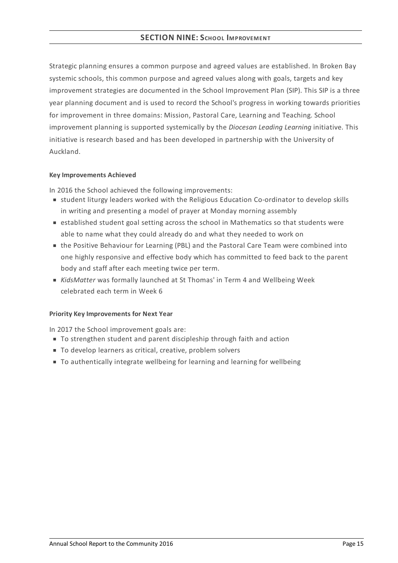# **SECTION NINE:SCHOOL IMPROVEMENT**

Strategic planning ensures a common purpose and agreed values are established. In Broken Bay systemic schools, this common purpose and agreed values along with goals, targets and key improvement strategies are documented in the School Improvement Plan (SIP). This SIP is a three year planning document and is used to record the School's progress in working towards priorities for improvement in three domains: Mission, Pastoral Care, Learning and Teaching. School improvement planning is supported systemically by the *Diocesan Leading Learning* initiative. This initiative is research based and has been developed in partnership with the University of Auckland.

#### **KeyImprovements Achieved**

In 2016 the School achieved the following improvements:

- student liturgy leaders worked with the Religious Education Co-ordinator to develop skills in writing and presenting a model of prayer at Monday morning assembly
- **Exercise is stablished student goal setting across the school in Mathematics so that students were** able to name what they could already do and what they needed to work on
- the Positive Behaviour for Learning (PBL) and the Pastoral Care Team were combined into one highly responsive and effective body which has committed to feed back to the parent body and staff after each meeting twice per term.
- *KidsMatter* was formally launched at St Thomas' in Term 4 and Wellbeing Week celebrated each term in Week 6

## **Priority KeyImprovements for Next Year**

In 2017 the School improvement goals are:

- To strengthen student and parent discipleship through faith and action
- To develop learners as critical, creative, problem solvers
- To authentically integrate wellbeing for learning and learning for wellbeing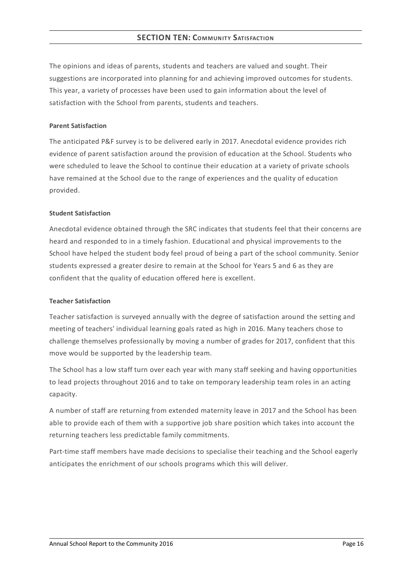# **SECTION TEN: COMMUNITY SATISFACTION**

The opinions and ideas of parents, students and teachers are valued and sought. Their suggestions are incorporated into planning for and achieving improved outcomes for students. This year, a variety of processes have been used to gain information about the level of satisfaction with the School from parents, students and teachers.

#### **Parent Satisfaction**

The anticipated P&F survey is to be delivered early in 2017. Anecdotal evidence provides rich evidence of parent satisfaction around the provision of education at the School. Students who were scheduled to leave the School to continue their education at a variety of private schools have remained at the School due to the range of experiences and the quality of education provided.

#### **Student Satisfaction**

Anecdotal evidence obtained through the SRC indicates that students feel that their concerns are heard and responded to in a timely fashion. Educational and physical improvements to the School have helped the student body feel proud of being a part of the school community. Senior students expressed a greater desire to remain at the School for Years 5 and 6 as they are confident that the quality of education offered here is excellent.

## **Teacher Satisfaction**

Teacher satisfaction is surveyed annually with the degree of satisfaction around the setting and meeting of teachers' individual learning goals rated as high in 2016. Many teachers chose to challenge themselves professionally by moving a number of grades for 2017, confident that this move would be supported by the leadership team.

The School has a low staff turn over each year with many staff seeking and having opportunities to lead projects throughout 2016 and to take on temporary leadership team roles in an acting capacity.

A number of staff are returning from extended maternity leave in 2017 and the School has been able to provide each of them with a supportive job share position which takes into account the returning teachers less predictable family commitments.

Part-time staff members have made decisions to specialise their teaching and the School eagerly anticipates the enrichment of our schools programs which this will deliver.